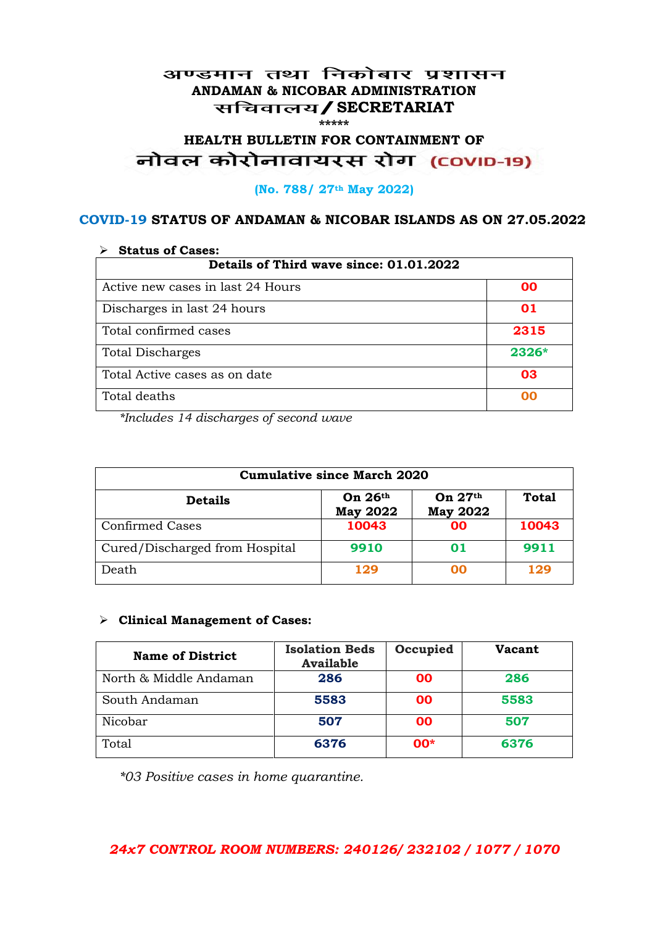#### अण्डमान तथा निकोबार प्रशासन **ANDAMAN & NICOBAR ADMINISTRATION /SECRETARIAT \*\*\*\*\***

# **HEALTH BULLETIN FOR CONTAINMENT OF**  नोवल कोरोनावायरस रोग (COVID-19)

#### **(No. 788/ 27th May 2022)**

#### **COVID-19 STATUS OF ANDAMAN & NICOBAR ISLANDS AS ON 27.05.2022**

| <b>Status of Cases:</b>                 |         |  |
|-----------------------------------------|---------|--|
| Details of Third wave since: 01.01.2022 |         |  |
| Active new cases in last 24 Hours       | 00      |  |
| Discharges in last 24 hours             | 01      |  |
| Total confirmed cases                   | 2315    |  |
| <b>Total Discharges</b>                 | $2326*$ |  |
| Total Active cases as on date           | 03      |  |
| Total deaths                            | OO      |  |

*\*Includes 14 discharges of second wave*

| <b>Cumulative since March 2020</b> |                              |                              |              |
|------------------------------------|------------------------------|------------------------------|--------------|
| <b>Details</b>                     | On $26th$<br><b>May 2022</b> | On $27th$<br><b>May 2022</b> | <b>Total</b> |
| <b>Confirmed Cases</b>             | 10043                        | 00                           | 10043        |
| Cured/Discharged from Hospital     | 9910                         | 01                           | 9911         |
| Death                              | 129                          | 00                           | 129          |

#### **Clinical Management of Cases:**

| <b>Name of District</b> | <b>Isolation Beds</b><br><b>Available</b> | Occupied  | Vacant |
|-------------------------|-------------------------------------------|-----------|--------|
| North & Middle Andaman  | 286                                       | <b>OO</b> | 286    |
| South Andaman           | 5583                                      | <b>OO</b> | 5583   |
| Nicobar                 | 507                                       | <b>OO</b> | 507    |
| Total                   | 6376                                      | $00*$     | 6376   |

*\*03 Positive cases in home quarantine.*

#### *24x7 CONTROL ROOM NUMBERS: 240126/ 232102 / 1077 / 1070*